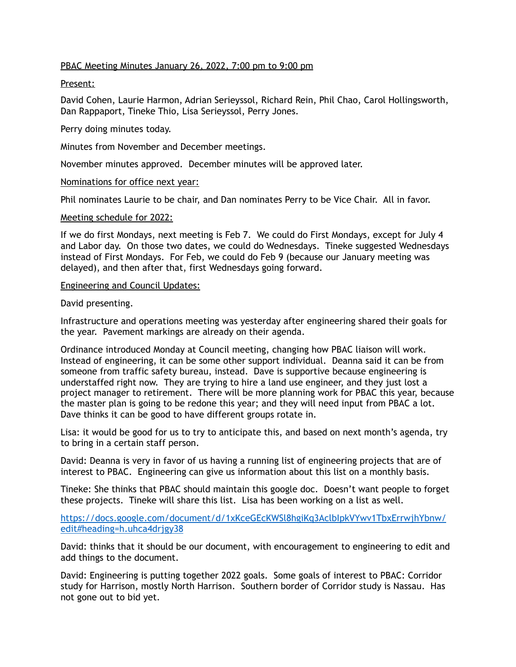# PBAC Meeting Minutes January 26, 2022, 7:00 pm to 9:00 pm

### Present:

David Cohen, Laurie Harmon, Adrian Serieyssol, Richard Rein, Phil Chao, Carol Hollingsworth, Dan Rappaport, Tineke Thio, Lisa Serieyssol, Perry Jones.

Perry doing minutes today.

Minutes from November and December meetings.

November minutes approved. December minutes will be approved later.

### Nominations for office next year:

Phil nominates Laurie to be chair, and Dan nominates Perry to be Vice Chair. All in favor.

## Meeting schedule for 2022:

If we do first Mondays, next meeting is Feb 7. We could do First Mondays, except for July 4 and Labor day. On those two dates, we could do Wednesdays. Tineke suggested Wednesdays instead of First Mondays. For Feb, we could do Feb 9 (because our January meeting was delayed), and then after that, first Wednesdays going forward.

### Engineering and Council Updates:

## David presenting.

Infrastructure and operations meeting was yesterday after engineering shared their goals for the year. Pavement markings are already on their agenda.

Ordinance introduced Monday at Council meeting, changing how PBAC liaison will work. Instead of engineering, it can be some other support individual. Deanna said it can be from someone from traffic safety bureau, instead. Dave is supportive because engineering is understaffed right now. They are trying to hire a land use engineer, and they just lost a project manager to retirement. There will be more planning work for PBAC this year, because the master plan is going to be redone this year; and they will need input from PBAC a lot. Dave thinks it can be good to have different groups rotate in.

Lisa: it would be good for us to try to anticipate this, and based on next month's agenda, try to bring in a certain staff person.

David: Deanna is very in favor of us having a running list of engineering projects that are of interest to PBAC. Engineering can give us information about this list on a monthly basis.

Tineke: She thinks that PBAC should maintain this google doc. Doesn't want people to forget these projects. Tineke will share this list. Lisa has been working on a list as well.

[https://docs.google.com/document/d/1xKceGEcKWSl8hgiKq3AclbIpkVYwv1TbxErrwjhYbnw/](https://docs.google.com/document/d/1xKceGEcKWSl8hgiKq3AclbIpkVYwv1TbxErrwjhYbnw/edit#heading=h.uhca4drjgy38) edit#heading=h.uhca4drjgy38

David: thinks that it should be our document, with encouragement to engineering to edit and add things to the document.

David: Engineering is putting together 2022 goals. Some goals of interest to PBAC: Corridor study for Harrison, mostly North Harrison. Southern border of Corridor study is Nassau. Has not gone out to bid yet.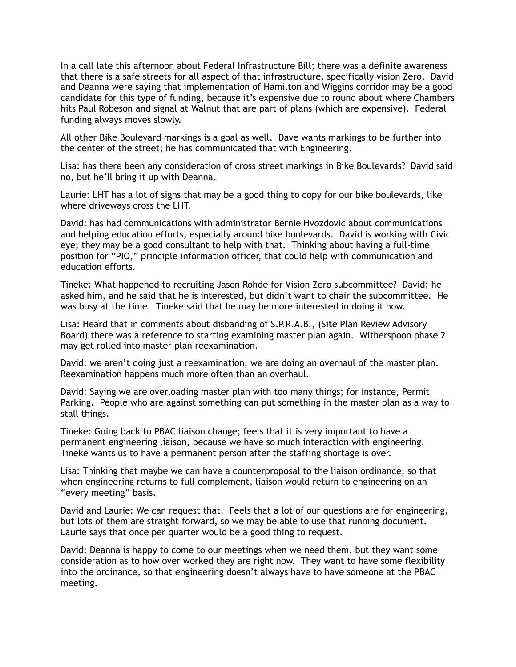In a call late this afternoon about Federal Infrastructure Bill; there was a definite awareness that there is a safe streets for all aspect of that infrastructure, specifically vision Zero. David and Deanna were saying that implementation of Hamilton and Wiggins corridor may be a good candidate for this type of funding, because it's expensive due to round about where Chambers hits Paul Robeson and signal at Walnut that are part of plans (which are expensive). Federal funding always moves slowly.

All other Bike Boulevard markings is a goal as well. Dave wants markings to be further into the center of the street; he has communicated that with Engineering.

Lisa: has there been any consideration of cross street markings in Bike Boulevards? David said no, but he'll bring it up with Deanna.

Laurie: LHT has a lot of signs that may be a good thing to copy for our bike boulevards, like where driveways cross the LHT.

David: has had communications with administrator Bernie Hvozdovic about communications and helping education efforts, especially around bike boulevards. David is working with Civic eye; they may be a good consultant to help with that. Thinking about having a full-time position for "PIO," principle information officer, that could help with communication and education efforts.

Tineke: What happened to recruiting Jason Rohde for Vision Zero subcommittee? David; he asked him, and he said that he is interested, but didn't want to chair the subcommittee. He was busy at the time. Tineke said that he may be more interested in doing it now.

Lisa: Heard that in comments about disbanding of S.P.R.A.B., (Site Plan Review Advisory Board) there was a reference to starting examining master plan again. Witherspoon phase 2 may get rolled into master plan reexamination.

David: we aren't doing just a reexamination, we are doing an overhaul of the master plan. Reexamination happens much more often than an overhaul.

David: Saying we are overloading master plan with too many things; for instance, Permit Parking. People who are against something can put something in the master plan as a way to stall things.

Tineke: Going back to PBAC liaison change; feels that it is very important to have a permanent engineering liaison, because we have so much interaction with engineering. Tineke wants us to have a permanent person after the staffing shortage is over.

Lisa: Thinking that maybe we can have a counterproposal to the liaison ordinance, so that when engineering returns to full complement, liaison would return to engineering on an "every meeting" basis.

David and Laurie: We can request that. Feels that a lot of our questions are for engineering, but lots of them are straight forward, so we may be able to use that running document. Laurie says that once per quarter would be a good thing to request.

David: Deanna is happy to come to our meetings when we need them, but they want some consideration as to how over worked they are right now. They want to have some flexibility into the ordinance, so that engineering doesn't always have to have someone at the PBAC meeting.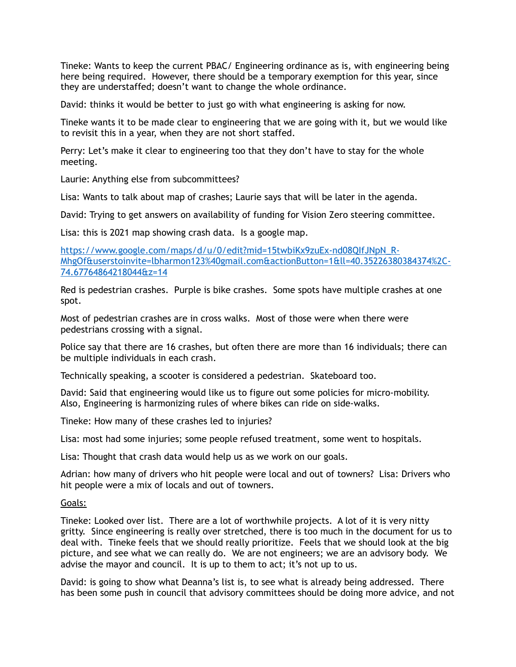Tineke: Wants to keep the current PBAC/ Engineering ordinance as is, with engineering being here being required. However, there should be a temporary exemption for this year, since they are understaffed; doesn't want to change the whole ordinance.

David: thinks it would be better to just go with what engineering is asking for now.

Tineke wants it to be made clear to engineering that we are going with it, but we would like to revisit this in a year, when they are not short staffed.

Perry: Let's make it clear to engineering too that they don't have to stay for the whole meeting.

Laurie: Anything else from subcommittees?

Lisa: Wants to talk about map of crashes; Laurie says that will be later in the agenda.

David: Trying to get answers on availability of funding for Vision Zero steering committee.

Lisa: this is 2021 map showing crash data. Is a google map.

https://www.google.com/maps/d/u/0/edit?mid=15twbiKx9zuEx-nd08QIfJNpN\_R-[MhgOf&userstoinvite=lbharmon123%40gmail.com&actionButton=1&ll=40.35226380384374%2C-](https://www.google.com/maps/d/u/0/edit?mid=15twbiKx9zuEx-nd08QIfJNpN_R-MhgOf&userstoinvite=lbharmon123%2540gmail.com&actionButton=1&ll=40.35226380384374%252C-74.67764864218044&z=14)74.67764864218044&z=14

Red is pedestrian crashes. Purple is bike crashes. Some spots have multiple crashes at one spot.

Most of pedestrian crashes are in cross walks. Most of those were when there were pedestrians crossing with a signal.

Police say that there are 16 crashes, but often there are more than 16 individuals; there can be multiple individuals in each crash.

Technically speaking, a scooter is considered a pedestrian. Skateboard too.

David: Said that engineering would like us to figure out some policies for micro-mobility. Also, Engineering is harmonizing rules of where bikes can ride on side-walks.

Tineke: How many of these crashes led to injuries?

Lisa: most had some injuries; some people refused treatment, some went to hospitals.

Lisa: Thought that crash data would help us as we work on our goals.

Adrian: how many of drivers who hit people were local and out of towners? Lisa: Drivers who hit people were a mix of locals and out of towners.

### Goals:

Tineke: Looked over list. There are a lot of worthwhile projects. A lot of it is very nitty gritty. Since engineering is really over stretched, there is too much in the document for us to deal with. Tineke feels that we should really prioritize. Feels that we should look at the big picture, and see what we can really do. We are not engineers; we are an advisory body. We advise the mayor and council. It is up to them to act; it's not up to us.

David: is going to show what Deanna's list is, to see what is already being addressed. There has been some push in council that advisory committees should be doing more advice, and not